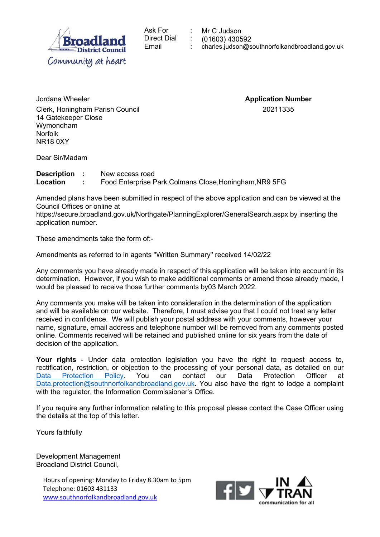| $\frac{1}{\%}$ " & '<br>" #\$                                                                                                                                                                                                                                                                                                                                                                                                                                                                              |
|------------------------------------------------------------------------------------------------------------------------------------------------------------------------------------------------------------------------------------------------------------------------------------------------------------------------------------------------------------------------------------------------------------------------------------------------------------------------------------------------------------|
|                                                                                                                                                                                                                                                                                                                                                                                                                                                                                                            |
| $\star$ .0<br>$\sim$ $   ^{\rm m}$<br>$\begin{array}{cccc} + & , & & ( \text{\text{\textendash}} \end{array}$<br>$\frac{1}{2}$                                                                                                                                                                                                                                                                                                                                                                             |
| $\overline{\phantom{a}}$<br>$*0$ "<br>$\begin{array}{cc} 1 & 8 \\ 12 & 3 & 45 \end{array}$                                                                                                                                                                                                                                                                                                                                                                                                                 |
| 6 7                                                                                                                                                                                                                                                                                                                                                                                                                                                                                                        |
| 18<br>$-$ + $-$ +, (" +12 .<br>$\sqrt{2}$                                                                                                                                                                                                                                                                                                                                                                                                                                                                  |
| $\mathbb{R}$ ( ) $\mathbb{R}$ ( ) $\mathbb{R}$ ( ) $\mathbb{R}$ ( ) $\mathbb{R}$ ( ) $\mathbb{R}$ ( ) $\mathbb{R}$ ( ) $\mathbb{R}$ ( ) $\mathbb{R}$ ( ) $\mathbb{R}$ ( ) $\mathbb{R}$ ( ) $\mathbb{R}$ ( ) $\mathbb{R}$ ( ) $\mathbb{R}$ ( ) $\mathbb{R}$ ( ) $\mathbb{R}$ ( ) $\mathbb{R}$ ( )<br>$\left( \begin{array}{cc} 0 & 1 \\ 0 & 1 \end{array} \right)$<br>$\mathcal{O}(\mathbb{R}^n)$<br>$\sqrt{2}$<br>9 & &<br># $'$<br>+ #<br>#()# 71 "( 7- (:/ 7. 6 "# /: '0<br>$"$ /<br>77<br>$\frac{1}{2}$ |
| ; "<br>" & $&$ <                                                                                                                                                                                                                                                                                                                                                                                                                                                                                           |
| $\left($<br>$==$ * 6 0 = 1 0 7 ! 7 !<br>$8\phantom{1}$                                                                                                                                                                                                                                                                                                                                                                                                                                                     |
| $\overline{\mathbf{0}}$<br>$\left(\begin{matrix} 0 & 0 \\ 0 & 0 \\ 0 & 0 \end{matrix}\right) + \begin{matrix} 0 \\ 0 \\ 0 \\ 0 \end{matrix}$<br>$+>$<br>8 <sup>1</sup><br>$\frac{1}{2}$                                                                                                                                                                                                                                                                                                                    |
| $\mathbf{H}$<br>$\sim 0$<br>&<br>$\begin{array}{c} 8 \\ 8 \end{array}$<br>$\frac{1}{2}$<br>$\pmb{0}$<br>$\overline{0}$<br>$\frac{1}{2}$ , $\frac{1}{2}$<br>$\#$ ; "<br>$) > 0$<br>&<br>8'<br>$\big)$<br>$+$ ><br>$\overline{0}$<br>&<br>$+\qquad$ (<br>$+$<br>8.7/                                                                                                                                                                                                                                         |
| $\langle$ ?<br>$\pm$<br>$\boldsymbol{\alpha}$<br>$+$<br>$+1$                                                                                                                                                                                                                                                                                                                                                                                                                                               |
| 0#5<br>$\overline{8}$<br>$\mathbf{0}^{\prime}$ and $\mathbf{0}^{\prime}$                                                                                                                                                                                                                                                                                                                                                                                                                                   |
| $\begin{array}{ccc} 0 & 8 & & 8 \\ 0 & 1 & 8 & \\ 0 & 0 & 8 & 0 \\ 0 & 0 & 0 & 8 \end{array}$<br>> 8<br>$\circledR$<br>$\overline{(}$                                                                                                                                                                                                                                                                                                                                                                      |
| $5\qquad \&$<br>" 8   0                                                                                                                                                                                                                                                                                                                                                                                                                                                                                    |
| $\sqrt{2}$<br>$\overline{B}$<br>$\overline{a}$<br>$\ddot{}$                                                                                                                                                                                                                                                                                                                                                                                                                                                |
|                                                                                                                                                                                                                                                                                                                                                                                                                                                                                                            |

 $\frac{111}{2}$  \$ "